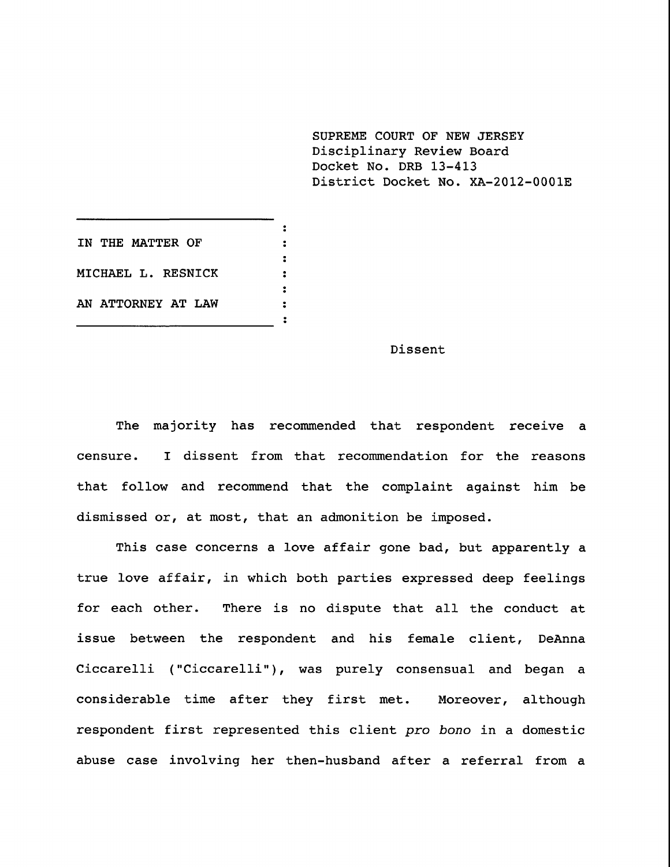**SUPREME COURT OF NEW JERSEY** Disciplinary Review Board Docket No. DRB 13-413 District Docket No. XA-2012-0001E

**IN THE MATTER OF**

**MICHAEL L. RESNICK**

**AN ATTORNEY AT LAW**

## Dissent

The majority has recommended that respondent receive a censure. I dissent from that recommendation for the reasons that follow and recommend that the complaint against him be dismissed or, at most, that an admonition be imposed.

 $\ddot{\cdot}$  $\ddot{\cdot}$  $\ddot{\cdot}$  $\ddot{\cdot}$  $\cdot$  $\ddot{\cdot}$  $\ddot{\bullet}$ 

This case concerns a love affair gone bad, but apparently a true love affair, in which both parties expressed deep feelings for each other. There is no dispute that all the conduct at issue between the respondent and his female client, DeAnna Ciccarelli ("Ciccarelli"), was purely consensual and began a considerable time after they first met. Moreover, although respondent first represented this client pro bono in a domestic abuse case involving her then-husband after a referral from a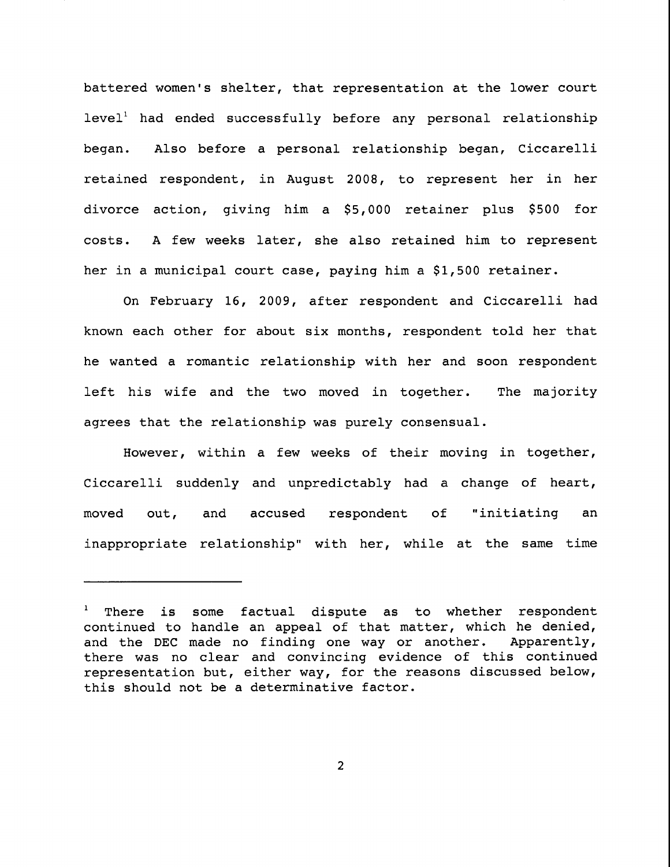battered women's shelter, that representation at the lower court  $level<sup>1</sup>$  had ended successfully before any personal relationship began. Also before a personal relationship began, Ciccarelli retained respondent, in August 2008, to represent her in her divorce action, giving him a \$5,000 retainer plus \$500 for costs. A few weeks later, she also retained him to represent her in a municipal court case, paying him a \$1,500 retainer.

On February 16, 2009, after respondent and Ciccarelli had known each other for about six months, respondent told her that he wanted a romantic relationship with her and soon respondent left his wife and the two moved in together. The majority agrees that the relationship was purely consensual.

However, within a few weeks of their moving in together, Ciccarelli suddenly and unpredictably had a change of heart, moved out, and accused respondent of "initiating an inappropriate relationship" with her, while at the same time

<sup>&</sup>lt;sup>1</sup> There is some factual dispute as to whether respondent continued to handle an appeal of that matter, which he denied, and the DEC made no finding one way or another. Apparently, there was no clear and convincing evidence of this continued representation but, either way, for the reasons discussed below, this should not be a determinative factor.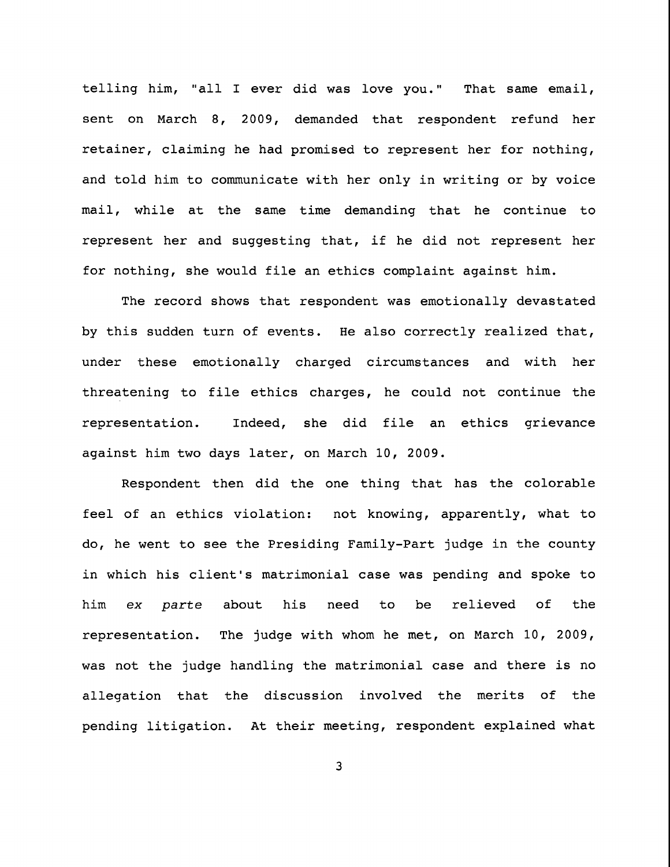telling him, "all I ever did was love you." That same email, sent on March 8, 2009, demanded that respondent refund her retainer, claiming he had promised to represent her for nothing, and told him to communicate with her only in writing or by voice mail, while at the same time demanding that he continue to represent her and suggesting that, if he did not represent her for nothing, she would file an ethics complaint against him.

The record shows that respondent was emotionally devastated by this sudden turn of events. He also correctly realized that, under these emotionally charged circumstances and with her threatening to file ethics charges, he could not continue the representation. Indeed, she did file an ethics grievance against him two days later, on March i0, 2009.

Respondent then did the one thing that has the colorable feel of an ethics violation: not knowing, apparently, what to do, he went to see the Presiding Family-Part judge in the county in which his client's matrimonial case was pending and spoke to him ex parte about his need to be relieved of the representation. The judge with whom he met, on March i0, 2009, was not the judge handling the matrimonial case and there is no allegation that the discussion involved the merits of the pending litigation. At their meeting, respondent explained what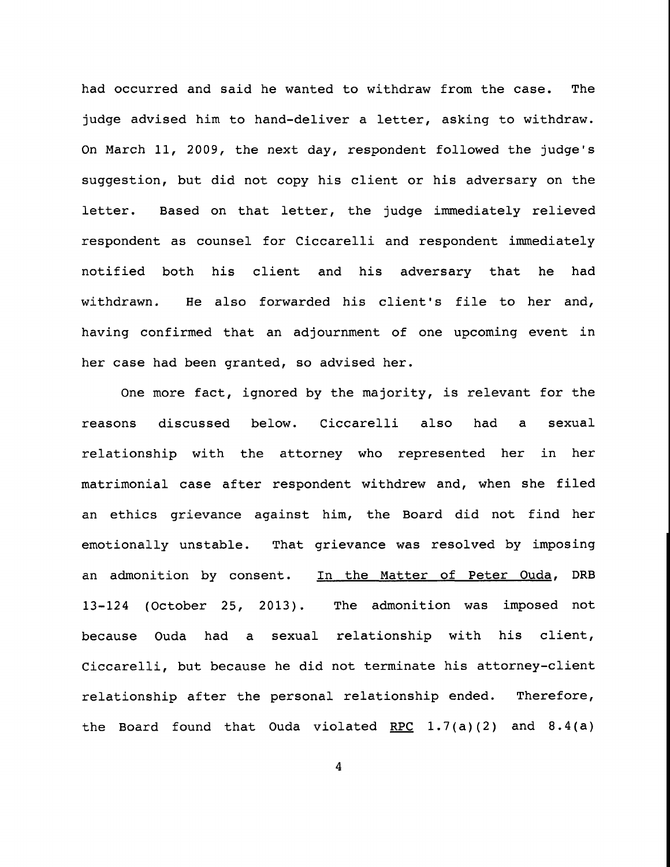had occurred and said he wanted to withdraw from the case. The judge advised him to hand-deliver a letter, asking to withdraw. On March ii, 2009, the next day, respondent followed the judge's suggestion, but did not copy his client or his adversary on the letter. Based on that letter, the judge immediately relieved respondent as counsel for Ciccarelli and respondent immediately notified both his client and his adversary that he had withdrawn. He also forwarded his client's file to her and, having confirmed that an adjournment of one upcoming event in her case had been granted, so advised her.

One more fact, ignored by the majority, is relevant for the reasons discussed below. Ciccarelli also had a sexual relationship with the attorney who represented her in her matrimonial case after respondent withdrew and, when she filed an ethics grievance against him, the Board did not find her emotionally unstable. That grievance was resolved by imposing an admonition by consent. In the Matter of Peter Ouda, DRB 13-124 (October 25, 2013). The admonition was imposed not because Ouda had a sexual relationship with his client, Ciccarelli, but because he did not terminate his attorney-client relationship after the personal relationship ended. Therefore, the Board found that Ouda violated RPC  $1.7(a)(2)$  and  $8.4(a)$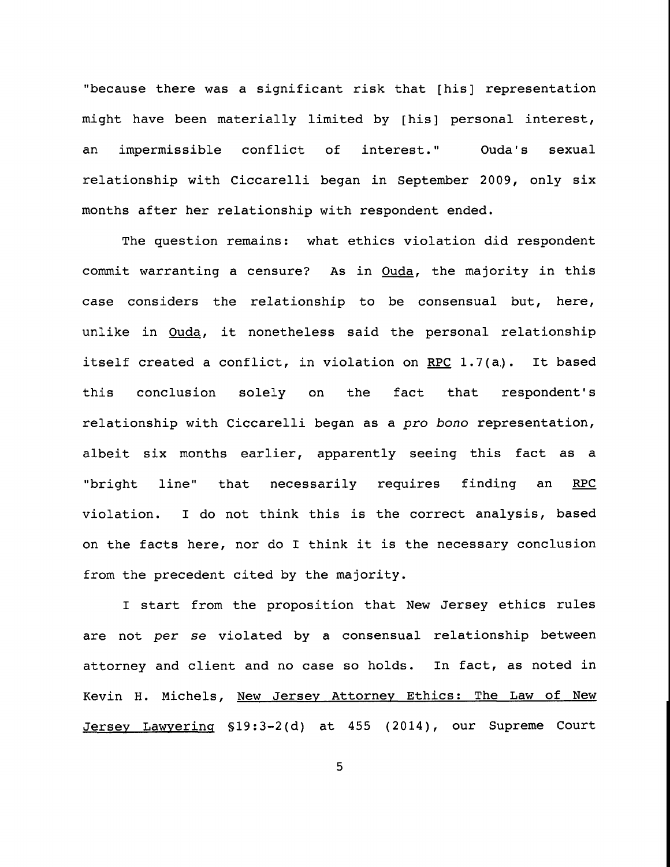"because there was a significant risk that [his] representation might have been materially limited by [his] personal interest, an impermissible conflict of interest." Ouda's sexual relationship with Ciccarelli began in September 2009, only six months after her relationship with respondent ended.

The question remains: what ethics violation did respondent commit warranting a censure? As in Ouda, the majority in this case considers the relationship to be consensual but, here, unlike in Ouda, it nonetheless said the personal relationship itself created a conflict, in violation on RPC 1.7(a). It based this conclusion solely on the fact that respondent's relationship with Ciccarelli began as a pro bono representation, albeit six months earlier, apparently seeing this fact as a "bright line" that necessarily requires finding an RPC violation. I do not think this is the correct analysis, based on the facts here, nor do I think it is the necessary conclusion from the precedent cited by the majority.

I start from the proposition that New Jersey ethics rules are not per se violated by a consensual relationship between attorney and client and no case so holds. In fact, as noted in Kevin H. Michels, New Jersey Attorney Ethics: The Law of New Jersey Lawyerinq §19:3-2(d) at 455 (2014), our Supreme Court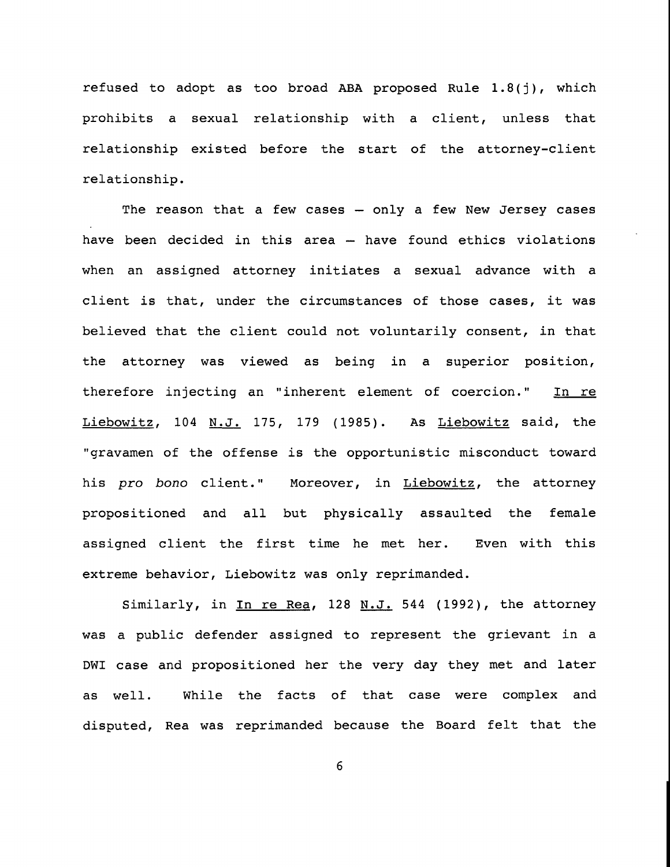refused to adopt as too broad ABA proposed Rule 1.8(j), which prohibits a sexual relationship with a client, unless that relationship existed before the start of the attorney-client relationship.

The reason that a few cases  $-$  only a few New Jersey cases have been decided in this area -- have found ethics violations when an assigned attorney initiates a sexual advance with a client is that, under the circumstances of those cases, it was believed that the client could not voluntarily consent, in that the attorney was viewed as being in a superior position, therefore injecting an "inherent element of coercion." In re Liebowitz, 104 N.J. 175, 179 (1985). As Liebowitz said, the "gravamen of the offense is the opportunistic misconduct toward his pro bono client." Moreover, in Liebowitz, the attorney propositioned and all but physically assaulted the female assigned client the first time he met her. Even with this extreme behavior, Liebowitz was only reprimanded.

Similarly, in In re Rea, 128 N.J. 544 (1992), the attorney was a public defender assigned to represent the grievant in a DWI case and propositioned her the very day they met and later as well. While the facts of that case were complex and disputed, Rea was reprimanded because the Board felt that the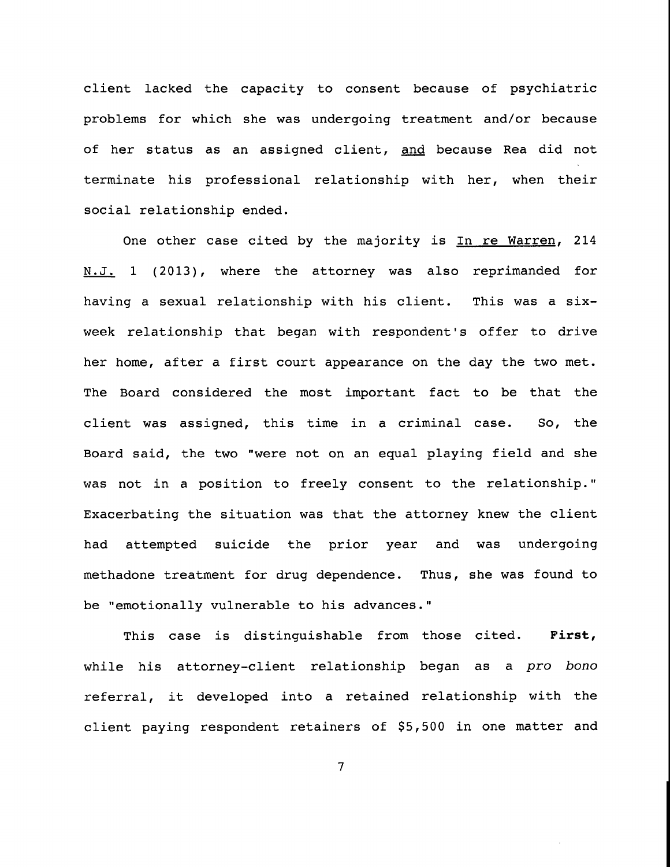client lacked the capacity to consent because of psychiatric problems for which she was undergoing treatment and/or because of her status as an assigned client, and because Rea did not terminate his professional relationship with her, when their social relationship ended.

One other case cited by the majority is In re Warren, 214 N.J. 1 (2013), where the attorney was also reprimanded for having a sexual relationship with his client. This was a sixweek relationship that began with respondent's offer to drive her home, after a first court appearance on the day the two met. The Board considered the most important fact to be that the client was assigned, this time in a criminal case. So, the Board said, the two "were not on an equal playing field and she was not in a position to freely consent to the relationship." Exacerbating the situation was that the attorney knew the client had attempted suicide the prior year and was methadone treatment for drug dependence. Thus, she was found to undergoing be "emotionally vulnerable to his advances."

This case is distinguishable from those cited. First, while his attorney-client relationship began as a pro bono referral, it developed into a retained relationship with the client paying respondent retainers of \$5,500 in one matter and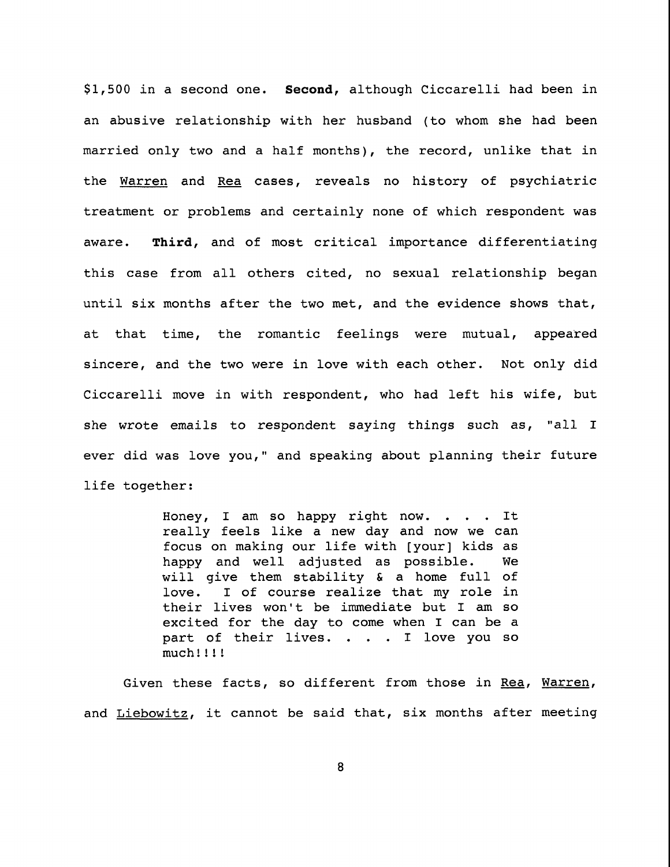\$1,500 in a second one. Second, although Ciccarelli had been in an abusive relationship with her husband (to whom she had been married only two and a half months), the record, unlike that in the Warren and Rea cases, reveals no history of psychiatric treatment or problems and certainly none of which respondent was aware. Third, and of most critical importance differentiating this case from all others cited, no sexual relationship began until six months after the two met, and the evidence shows that, at that time, the romantic feelings were mutual, appeared sincere, and the two were in love with each other. Not only did Ciccarelli move in with respondent, who had left his wife, but she wrote emails to respondent saying things such as, "all I ever did was love you," and speaking about planning their future life together:

> Honey, I am so happy right now. . . . It really feels like a new day and now we can focus on making our life with [your] kids as happy and well adjusted as possible. We will give them stability & a home full of love. I of course realize that my role in their lives won't be immediate but I am so excited for the day to come when I can be a part of their lives. . . . I love you so much!!!!

Given these facts, so different from those in Rea, Warren, and Liebowitz, it cannot be said that, six months after meeting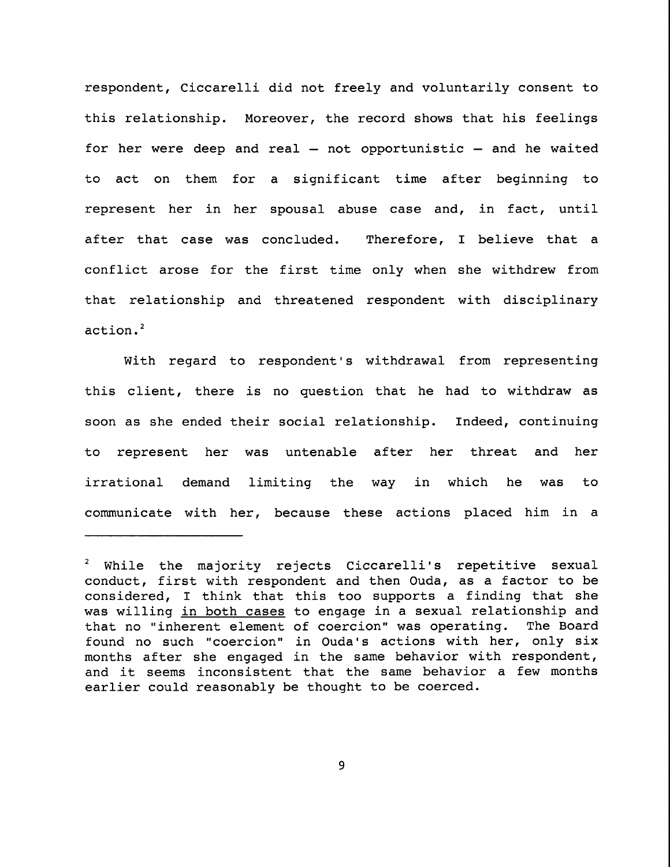respondent, Ciccarelli did not freely and voluntarily consent to this relationship. Moreover, the record shows that his feelings for her were deep and real  $-$  not opportunistic  $-$  and he waited to act on them for a significant time after beginning to represent her in her spousal abuse case and, in fact, until after that case was concluded. Therefore, I believe that a conflict arose for the first time only when she withdrew from that relationship and threatened respondent with disciplinary action.<sup>2</sup>

With regard to respondent's withdrawal from representing this client, there is no question that he had to withdraw as soon as she ended their social relationship. Indeed, continuing to represent her was untenable after her threat irrational demand limiting the way in which and her was to communicate with her, because these actions placed him in a

While the majority rejects Ciccarelli's repetitive sexual conduct, first with respondent and then Ouda, as a factor to be considered, I think that this too supports a finding that she was willing in both cases to engage in a sexual relationship and that no "inherent element of coercion" was operating. The Board found no such "coercion" in Ouda's actions with her, only six months after she engaged in the same behavior with respondent, and it seems inconsistent that the same behavior a few months earlier could reasonably be thought to be coerced.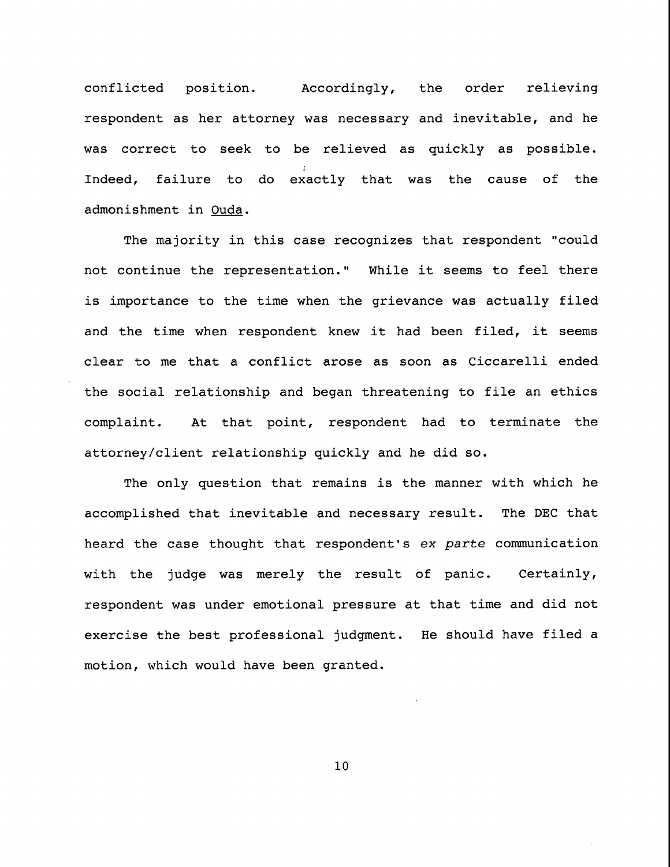conflicted position. Accordingly, the order relieving respondent as her attorney was necessary and inevitable, and he was correct to seek to be relieved as quickly as possible. Indeed, failure to do exactly that was the cause of the admonishment in Ouda.

The majority in this case recognizes that respondent "could not continue the representation." While it seems to feel there is importance to the time when the grievance was actually filed and the time when respondent knew it had been filed, it seems clear to me that a conflict arose as soon as Ciccarelli ended the social relationship and began threatening to file an ethics complaint. At that point, respondent had to terminate the attorney/client relationship quickly and he did so.

The only question that remains is the manner with which he accomplished that inevitable and necessary result. The DEC that heard the case thought that respondent's ex parte communication with the judge was merely the result of panic. Certainly, respondent was under emotional pressure at that time and did not exercise the best professional judgment. He should have filed a motion, which would have been granted.

i0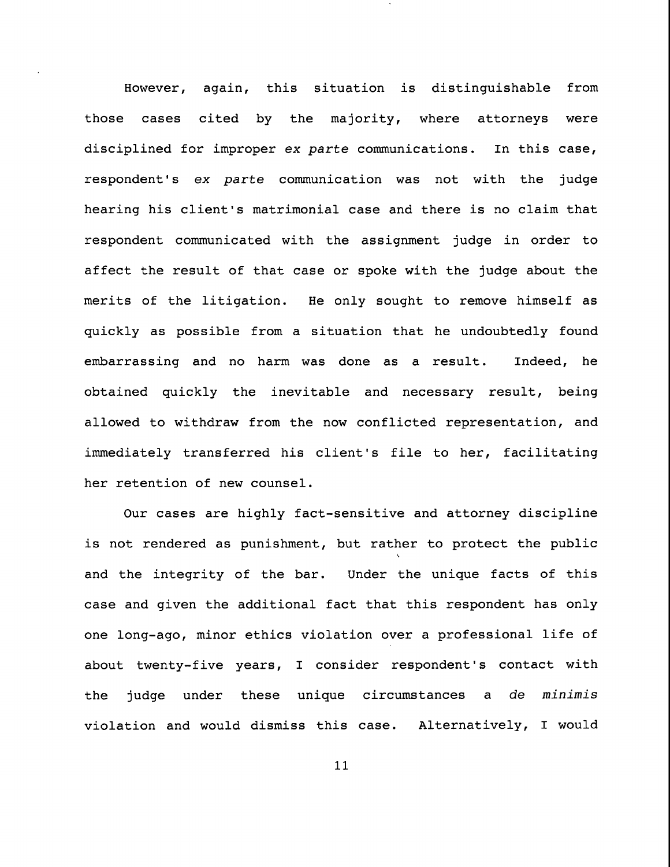**However,** again, this situation is distinguishable from those cases cited by the majority, where attorneys were disciplined for improper ex parte communications. In this case, respondent's ex parte communication was not with the judge hearing his client's matrimonial case and there is no claim that respondent communicated with the assignment judge in order to affect the result of that case or spoke with the judge about the merits of the litigation. He only sought to remove himself as quickly as possible from a situation that he undoubtedly found embarrassing and no harm was done as a result. Indeed, he obtained quickly the inevitable and necessary result, being allowed to withdraw from the now conflicted representation, and immediately transferred his client's file to her, facilitating her retention of new counsel.

Our cases are highly fact-sensitive and attorney discipline is not rendered as punishment, but rather to protect the public and the integrity of the bar. Under the unique facts of this case and given the additional fact that this respondent has only one long-ago, minor ethics violation over a professional life of about twenty-five years, I consider respondent's contact with the judge under these unique circumstances a de minimis violation and would dismiss this case. Alternatively, I would

ii